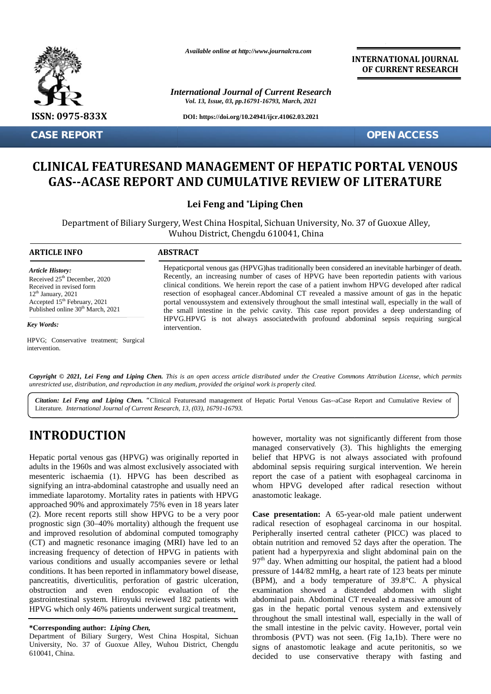

**CASE REPORT OPEN ACCESS**

*Available online at http://www.journalcra.com*

*International Journal of Current Research Vol. 13, Issue, 03, pp.16791-16793, March, 2021*

**DOI: https://doi.org/10.24941/ijcr.41062.03.2021**

**INTERNATIONAL JOURNAL OF CURRENT RESEARCH**

# CLINICAL FEATURESAND MANAGEMENT OF HEPATIC PORTAL VENOUS<br>GAS--ACASE REPORT AND CUMULATIVE REVIEW OF LITERATURE **GAS--ACASE REPORT AND CUMULATIVE REVIEW OF LITERATURE**

**Lei Feng and \*Liping Chen \*Liping** 

Department of Biliary Surgery, West China Hospital, Sichuan University, No. 37 of Guoxue Alley, Surgery, China Guoxue Alley,Wuhou 610041, ChinaWuhou District, Chengdu 610041, China

#### **ARTICLE INFO ABSTRACT ARTICLE ABSTRACT**

*Article History: Article History:* Received  $25<sup>th</sup>$  December, 2020 Received 25 December, 2020<br>Received in revised form Received in revised form<br> $12<sup>th</sup>$  January, 2021 Received in revised form<br>12<sup>th</sup> January, 2021<br>Accepted 15<sup>th</sup> February, 2021 Published online  $30<sup>th</sup>$  March, 2021 December, 2020<br> *Pecember, 2020*<br> *Internaty, 2021*<br> *Inne 30<sup>th</sup> March, 2021*<br> *Internative treatment; Surgical*<br> *Paramenting Cher, inc.*<br> *Internation, and reproduction*<br> *Ree, distribution, and reproduction*<br> *Ree Feng* 

#### *Key Words:*

HPVG; Conservative treatment; Surgical intervention.

Hepaticportal venous gas (HPVG)has traditionally been considered an inevitable harbinger of death. Recently, an increasing number of cases of HPVG have been reportedin patients with various clinical conditions. We herein report the case of a patient inwhom HPVG developed after radical resection of esophageal cancer.Abdominal CT revealed a massive amount of gas in the hepatic 2021 resection of esophageal cancer. Abdominal CT revealed a massive amount of gas in the hepatic<br>
<sup>th</sup>February, 2021 portal venoussystem and extensively throughout the small intestinal wall, especially in the wall of the small intestine in the pelvic cavity. This case report provides a deep understanding of HPVG.HPVG is not always associatedwith profound abdominal sepsis requiring surgical intervention. Hepaticportal venous gas (HPVG)has traditionally been considered an inevitable harbinger of death.<br>Recently, an increasing number of cases of HPVG have been reportedin patients with various<br>clinical conditions. We herein r CASE REPORT<br>
CLINICAL FEATURESAND MANAGEMENT OF HEPATIC PORTAL VENOUS<br>
GAS--ACASE REPORT AND CUMULATIVE REVIEW OF LITERATURE<br>
Lei Feng and "Liping Chen<br>
Department of Biliary Surgery, West China Hospital, Sichuan Universit

**Copyright © 2021, Lei Feng and Liping Chen.** This is an open access article distributed under the Creative Commons Attribution License, which permits<br>unrestricted use, distribution, and reproduction in any medium, provide *unrestricted use,distribution, and reproduction in any medium, provided the original work is properly cited.*

**)** Literature*. International Journal of Current Research, 13, (03), 16791-16793.* Citation: Lei Feng and Liping Chen. "Clinical Featuresand management of Hepatic Portal Venous Gas--aCase Report and Cumulative Review of

# **INTRODUCTION INTRODUCTION**

Hepatic portal venous gas (HPVG) was originally reported in adults in the 1960s and was almost exclusively associated with mesenteric ischaemia (1). HPVG has been described as signifying an intra-abdominal catastrophe and usually need an immediate laparotomy. Mortality rates in patients with HPVG approached 90% and approximately 75% even in 18 years later (2). More recent reports still show HPVG to be a very poor prognostic sign (30–40% mortality) although the frequent use and improved resolution of abdominal computed tomography (CT) and magnetic resonance imaging (MRI) have led to an increasing frequency of detection of HPVG in patients with various conditions and usually accompanies severe or lethal conditions. It has been reported in inflammatory bowel disease, pancreatitis, diverticulitis, perforation of gastric ulceration, obstruction and even endoscopic evaluation of the gastrointestinal system. Hiroyuki reviewed 182 patients with HPVG which only 46% patients underwent surgical treatment, Hepatic portal venous gas (HPVG) was originally reported in<br>adults in the 1960s and was almost exclusively associated with<br>mesenteric ischaemia (1). HPVG has been described as<br>signifying an intra-abdominal catastrophe and pancreatitis, diverticulitis, perforation of gastric ulceration, obstruction and even endoscopic evaluation of the gastrointestinal system. Hiroyuki reviewed 182 patients with HPVG which only 46% patients underwent surgica Excelent 26<sup>2</sup> Research 2021 Internation, the measuring under of uses of it [1976] increase the method and contained particular the second of containing the second of the second of the second of the second of the second o is in the 1960s and was almost exclusively associated with abdominal sepsis requiring surgical intervention. We<br>enteric ischaemia (1). HPVG has been described as report the case of a patient with esophageal carcino<br>fying a

#### **\*Corresponding author:** *Liping Chen,* **\*Corresponding** *Chen,*

Department of Biliary Surgery, West China Hospital, Sichuan University, No. 37 of Guoxue Alley, Wuhou District, Chengdu 610041, China.

however, mortality was not significantly different from those managed conservatively (3). This highlights the emerging belief that HPVG is not always associated with profound abdominal sepsis requiring surgical intervention. We herein report the case of a patient with esophageal carcinoma in whom HPVG developed after radical resection without anastomotic leakage.

**Case presentation:** A 65-year-old male patient underwent radical resection of esophageal carcinoma in our hospital. Peripherally inserted central catheter (PICC) was placed to obtain nutrition and removed 52 days after the operation. The patient had a hyperpyrexia and slight abdominal pain on the  $97<sup>th</sup>$  day. When admitting our hospital, the patient had a blood pressure of 144/82 mmHg, a heart rate of 123 beats per minute (BPM), and a body temperature of 39.8°C. A physical examination showed a distended abdomen with slight abdominal pain. Abdominal CT revealed a massive amount of gas in the hepatic portal venous system and extensively throughout the small intestinal wall, especially in the wall of the small intestine in the pelvic cavity. However, portal vein thrombosis (PVT) was not seen. (Fig 1a,1b). There were no signs of anastomotic leakage and acute peritonitis, so we decided to use conservative therapy with fasting and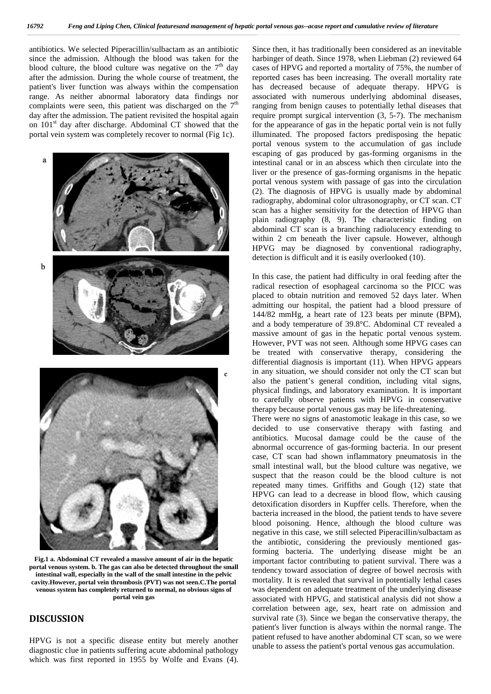antibiotics. We selected Piperacillin/sulbactam as an antibiotic since the admission. Although the blood was taken for the blood culture, the blood culture was negative on the  $7<sup>th</sup>$  day after the admission. During the whole course of treatment, the patient's liver function was always within the compensation range. As neither abnormal laboratory data findings nor complaints were seen, this patient was discharged on the  $7<sup>th</sup>$ day after the admission. The patient revisited the hospital again on 101<sup>st</sup> day after discharge. Abdominal CT showed that the portal vein system was completely recover to normal (Fig 1c).



**Fig.1 a. Abdominal CT revealed a massive amount of air in the hepatic portal venous system. b. The gas can also be detected throughout the small intestinal wall, especially in the wall of the small intestine in the pelvic cavity.However, portal vein thrombosis (PVT) was not seen.C.The portal venous system has completely returned to normal, no obvious signs of portal vein gas**

## **DISCUSSION**

HPVG is not a specific disease entity but merely another diagnostic clue in patients suffering acute abdominal pathology which was first reported in 1955 by Wolfe and Evans (4). Since then, it has traditionally been considered as an inevitable harbinger of death. Since 1978, when Liebman (2) reviewed 64 cases of HPVG and reported a mortality of 75%, the number of reported cases has been increasing. The overall mortality rate has decreased because of adequate therapy. HPVG is associated with numerous underlying abdominal diseases, ranging from benign causes to potentially lethal diseases that require prompt surgical intervention (3, 5-7). The mechanism for the appearance of gas in the hepatic portal vein is not fully illuminated. The proposed factors predisposing the hepatic portal venous system to the accumulation of gas include escaping of gas produced by gas-forming organisms in the intestinal canal or in an abscess which then circulate into the liver or the presence of gas-forming organisms in the hepatic portal venous system with passage of gas into the circulation (2). The diagnosis of HPVG is usually made by abdominal radiography, abdominal color ultrasonography, or CT scan. CT scan has a higher sensitivity for the detection of HPVG than plain radiography (8, 9). The characteristic finding on abdominal CT scan is a branching radiolucency extending to within 2 cm beneath the liver capsule. However, although HPVG may be diagnosed by conventional radiography, detection is difficult and it is easily overlooked (10).

In this case, the patient had difficulty in oral feeding after the radical resection of esophageal carcinoma so the PICC was placed to obtain nutrition and removed 52 days later. When admitting our hospital, the patient had a blood pressure of 144/82 mmHg, a heart rate of 123 beats per minute (BPM), and a body temperature of 39.8°C. Abdominal CT revealed a massive amount of gas in the hepatic portal venous system. However, PVT was not seen. Although some HPVG cases can be treated with conservative therapy, considering the differential diagnosis is important (11). When HPVG appears in any situation, we should consider not only the CT scan but also the patient's general condition, including vital signs, physical findings, and laboratory examination. It is important to carefully observe patients with HPVG in conservative therapy because portal venous gas may be life-threatening.

There were no signs of anastomotic leakage in this case, so we decided to use conservative therapy with fasting and antibiotics. Mucosal damage could be the cause of the abnormal occurrence of gas-forming bacteria. In our present case, CT scan had shown inflammatory pneumatosis in the small intestinal wall, but the blood culture was negative, we suspect that the reason could be the blood culture is not repeated many times. Griffiths and Gough (12) state that HPVG can lead to a decrease in blood flow, which causing detoxification disorders in Kupffer cells. Therefore, when the bacteria increased in the blood, the patient tends to have severe blood poisoning. Hence, although the blood culture was negative in this case, we still selected Piperacillin/sulbactam as the antibiotic, considering the previously mentioned gasforming bacteria. The underlying disease might be an important factor contributing to patient survival. There was a tendency toward association of degree of bowel necrosis with mortality. It is revealed that survival in potentially lethal cases was dependent on adequate treatment of the underlying disease associated with HPVG, and statistical analysis did not show a correlation between age, sex, heart rate on admission and survival rate (3). Since we began the conservative therapy, the patient's liver function is always within the normal range. The patient refused to have another abdominal CT scan, so we were unable to assess the patient's portal venous gas accumulation.